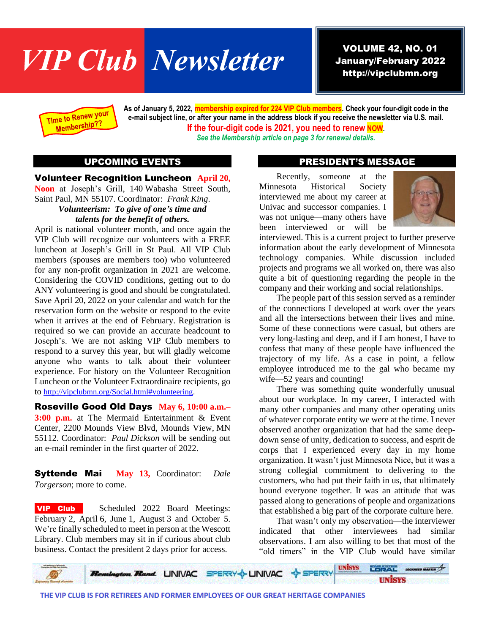# **VIP Club Newsletter**

VOLUME 42, NO. 01 January/February 2022 http://vipclubmn.org

Time to Renew your Membership??

**As of January 5, 2022, membership expired for 224 VIP Club members. Check your four-digit code in the e-mail subject line, or after your name in the address block if you receive the newsletter via U.S. mail. If the four-digit code is 2021, you need to renew NOW.**  *See the Membership article on page 3 for renewal details.* 

## UPCOMING EVENTS

Volunteer Recognition Luncheon **April 20,** 

**Noon** at Joseph's Grill, 140 Wabasha Street South, Saint Paul, MN 55107. Coordinator: *Frank King*. *Volunteerism: To give of one's time and* 

#### *talents for the benefit of others.*

April is national volunteer month, and once again the VIP Club will recognize our volunteers with a FREE luncheon at Joseph's Grill in St Paul. All VIP Club members (spouses are members too) who volunteered for any non-profit organization in 2021 are welcome. Considering the COVID conditions, getting out to do ANY volunteering is good and should be congratulated. Save April 20, 2022 on your calendar and watch for the reservation form on the website or respond to the evite when it arrives at the end of February. Registration is required so we can provide an accurate headcount to Joseph's. We are not asking VIP Club members to respond to a survey this year, but will gladly welcome anyone who wants to talk about their volunteer experience. For history on the Volunteer Recognition Luncheon or the Volunteer Extraordinaire recipients, go to [http://vipclubmn.org/Social.html#volunteering.](http://vipclubmn.org/Social.html#volunteering)

Roseville Good Old Days **May 6, 10:00 a.m.– 3:00 p.m.** at The Mermaid Entertainment & Event Center, 2200 Mounds View Blvd, Mounds View, MN 55112. Coordinator: *Paul Dickson* will be sending out an e-mail reminder in the first quarter of 2022.

Syttende Mai **May 13,** Coordinator: *Dale Torgerson*; more to come.

VIP Club Scheduled 2022 Board Meetings: February 2, April 6, June 1, August 3 and October 5. We're finally scheduled to meet in person at the Wescott Library. Club members may sit in if curious about club business. Contact the president 2 days prior for access.

#### PRESIDENT'S MESSAGE

Recently, someone at the Minnesota Historical Society interviewed me about my career at Univac and successor companies. I was not unique—many others have been interviewed or will be



interviewed. This is a current project to further preserve information about the early development of Minnesota technology companies. While discussion included projects and programs we all worked on, there was also quite a bit of questioning regarding the people in the company and their working and social relationships.

The people part of this session served as a reminder of the connections I developed at work over the years and all the intersections between their lives and mine. Some of these connections were casual, but others are very long-lasting and deep, and if I am honest, I have to confess that many of these people have influenced the trajectory of my life. As a case in point, a fellow employee introduced me to the gal who became my wife—52 years and counting!

There was something quite wonderfully unusual about our workplace. In my career, I interacted with many other companies and many other operating units of whatever corporate entity we were at the time. I never observed another organization that had the same deepdown sense of unity, dedication to success, and esprit de corps that I experienced every day in my home organization. It wasn't just Minnesota Nice, but it was a strong collegial commitment to delivering to the customers, who had put their faith in us, that ultimately bound everyone together. It was an attitude that was passed along to generations of people and organizations that established a big part of the corporate culture here.

That wasn't only my observation—the interviewer indicated that other interviewees had similar observations. I am also willing to bet that most of the "old timers" in the VIP Club would have similar



THE VIP CLUB IS FOR RETIREES AND FORMER EMPLOYEES OF OUR GREAT HERITAGE COMPANIES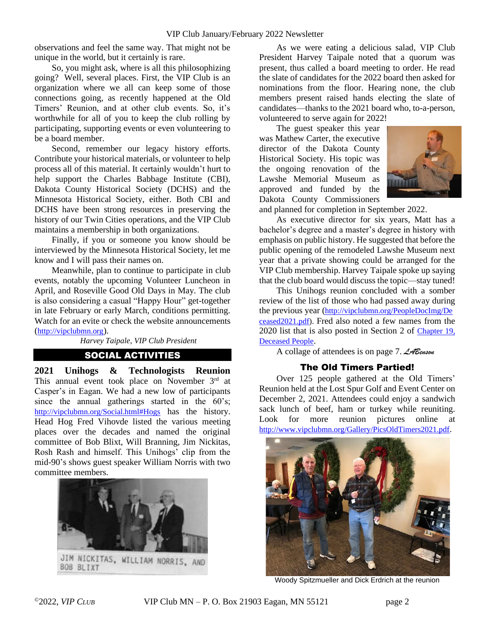observations and feel the same way. That might not be unique in the world, but it certainly is rare.

So, you might ask, where is all this philosophizing going? Well, several places. First, the VIP Club is an organization where we all can keep some of those connections going, as recently happened at the Old Timers' Reunion, and at other club events. So, it's worthwhile for all of you to keep the club rolling by participating, supporting events or even volunteering to be a board member.

Second, remember our legacy history efforts. Contribute your historical materials, or volunteer to help process all of this material. It certainly wouldn't hurt to help support the Charles Babbage Institute (CBI), Dakota County Historical Society (DCHS) and the Minnesota Historical Society, either. Both CBI and DCHS have been strong resources in preserving the history of our Twin Cities operations, and the VIP Club maintains a membership in both organizations.

Finally, if you or someone you know should be interviewed by the Minnesota Historical Society, let me know and I will pass their names on.

Meanwhile, plan to continue to participate in club events, notably the upcoming Volunteer Luncheon in April, and Roseville Good Old Days in May. The club is also considering a casual "Happy Hour" get-together in late February or early March, conditions permitting. Watch for an evite or check the website announcements ([http://vipclubmn.org](http://vipclubmn.org/)).

*Harvey Taipale, VIP Club President*

# SOCIAL ACTIVITIES

**2021 Unihogs & Technologists Reunion**  This annual event took place on November 3rd at Casper's in Eagan. We had a new low of participants since the annual gatherings started in the  $60$ 's; <http://vipclubmn.org/Social.html#Hogs> has the history. Head Hog Fred Vihovde listed the various meeting places over the decades and named the original committee of Bob Blixt, Will Branning, Jim Nickitas, Rosh Rash and himself. This Unihogs' clip from the mid-90's shows guest speaker William Norris with two committee members.



As we were eating a delicious salad, VIP Club President Harvey Taipale noted that a quorum was present, thus called a board meeting to order. He read the slate of candidates for the 2022 board then asked for nominations from the floor. Hearing none, the club members present raised hands electing the slate of candidates—thanks to the 2021 board who, to-a-person, volunteered to serve again for 2022!

The guest speaker this year was Mathew Carter, the executive director of the Dakota County Historical Society. His topic was the ongoing renovation of the Lawshe Memorial Museum as approved and funded by the Dakota County Commissioners



and planned for completion in September 2022.

As executive director for six years, Matt has a bachelor's degree and a master's degree in history with emphasis on public history. He suggested that before the public opening of the remodeled Lawshe Museum next year that a private showing could be arranged for the VIP Club membership. Harvey Taipale spoke up saying that the club board would discuss the topic—stay tuned!

This Unihogs reunion concluded with a somber review of the list of those who had passed away during the previous year ([http://vipclubmn.org/PeopleDocImg/De](http://vipclubmn.org/PeopleDocImg/Deceased2021.pdf) [ceased2021.pdf\)](http://vipclubmn.org/PeopleDocImg/Deceased2021.pdf). Fred also noted a few names from the 2020 list that is also posted in Section 2 of [Chapter 19,](http://vipclubmn.org/deceased.html)  [Deceased People](http://vipclubmn.org/deceased.html).

A collage of attendees is on page 7. *LABenson*

#### The Old Timers Partied!

Over 125 people gathered at the Old Timers' Reunion held at the Lost Spur Golf and Event Center on December 2, 2021. Attendees could enjoy a sandwich sack lunch of beef, ham or turkey while reuniting. Look for more reunion pictures online at <http://www.vipclubmn.org/Gallery/PicsOldTimers2021.pdf>.



Woody Spitzmueller and Dick Erdrich at the reunion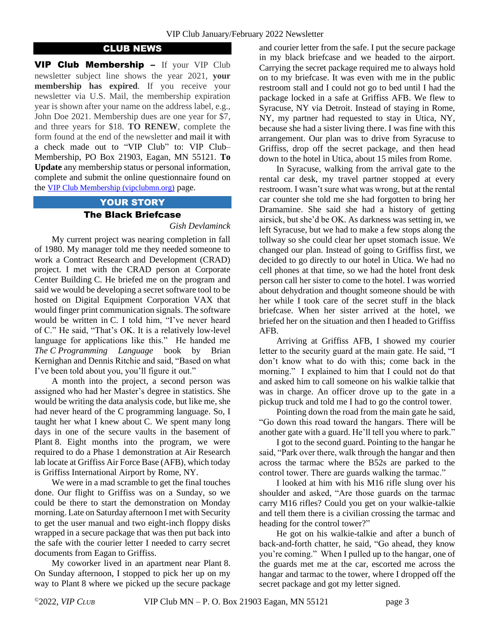## CLUB NEWS

VIP Club Membership – If your VIP Club newsletter subject line shows the year 2021, **your membership has expired**. If you receive your newsletter via U.S. Mail, the membership expiration year is shown after your name on the address label, e.g., John Doe 2021. Membership dues are one year for \$7, and three years for \$18. **TO RENEW**, complete the form found at the end of the newsletter and mail it with a check made out to "VIP Club" to: VIP Club– Membership, PO Box 21903, Eagan, MN 55121. **To Update** any membership status or personal information, complete and submit the online questionnaire found on the [VIP Club Membership \(vipclubmn.org\)](http://vipclubmn.org/Membership.html) page.

## YOUR STORY The Black Briefcase

## *Gish Devlaminck*

My current project was nearing completion in fall of 1980. My manager told me they needed someone to work a Contract Research and Development (CRAD) project. I met with the CRAD person at Corporate Center Building C. He briefed me on the program and said we would be developing a secret software tool to be hosted on Digital Equipment Corporation VAX that would finger print communication signals. The software would be written in C. I told him, "I've never heard of C." He said, "That's OK. It is a relatively low-level language for applications like this." He handed me *The C Programming Language* book by Brian Kernighan and Dennis Ritchie and said, "Based on what I've been told about you, you'll figure it out."

A month into the project, a second person was assigned who had her Master's degree in statistics. She would be writing the data analysis code, but like me, she had never heard of the C programming language. So, I taught her what I knew about C. We spent many long days in one of the secure vaults in the basement of Plant 8. Eight months into the program, we were required to do a Phase 1 demonstration at Air Research lab locate at Griffiss Air Force Base (AFB), which today is Griffiss International Airport by Rome, NY.

We were in a mad scramble to get the final touches done. Our flight to Griffiss was on a Sunday, so we could be there to start the demonstration on Monday morning. Late on Saturday afternoon I met with Security to get the user manual and two eight-inch floppy disks wrapped in a secure package that was then put back into the safe with the courier letter I needed to carry secret documents from Eagan to Griffiss.

My coworker lived in an apartment near Plant 8. On Sunday afternoon, I stopped to pick her up on my way to Plant 8 where we picked up the secure package and courier letter from the safe. I put the secure package in my black briefcase and we headed to the airport. Carrying the secret package required me to always hold on to my briefcase. It was even with me in the public restroom stall and I could not go to bed until I had the package locked in a safe at Griffiss AFB. We flew to Syracuse, NY via Detroit. Instead of staying in Rome, NY, my partner had requested to stay in Utica, NY, because she had a sister living there. I was fine with this arrangement. Our plan was to drive from Syracuse to Griffiss, drop off the secret package, and then head down to the hotel in Utica, about 15 miles from Rome.

In Syracuse, walking from the arrival gate to the rental car desk, my travel partner stopped at every restroom. I wasn't sure what was wrong, but at the rental car counter she told me she had forgotten to bring her Dramamine. She said she had a history of getting airsick, but she'd be OK. As darkness was setting in, we left Syracuse, but we had to make a few stops along the tollway so she could clear her upset stomach issue. We changed our plan. Instead of going to Griffiss first, we decided to go directly to our hotel in Utica. We had no cell phones at that time, so we had the hotel front desk person call her sister to come to the hotel. I was worried about dehydration and thought someone should be with her while I took care of the secret stuff in the black briefcase. When her sister arrived at the hotel, we briefed her on the situation and then I headed to Griffiss AFB.

Arriving at Griffiss AFB, I showed my courier letter to the security guard at the main gate. He said, "I don't know what to do with this; come back in the morning." I explained to him that I could not do that and asked him to call someone on his walkie talkie that was in charge. An officer drove up to the gate in a pickup truck and told me I had to go the control tower.

Pointing down the road from the main gate he said, "Go down this road toward the hangars. There will be another gate with a guard. He'll tell you where to park."

I got to the second guard. Pointing to the hangar he said, "Park over there, walk through the hangar and then across the tarmac where the B52s are parked to the control tower. There are guards walking the tarmac."

I looked at him with his M16 rifle slung over his shoulder and asked, "Are those guards on the tarmac carry M16 rifles? Could you get on your walkie-talkie and tell them there is a civilian crossing the tarmac and heading for the control tower?"

He got on his walkie-talkie and after a bunch of back-and-forth chatter, he said, "Go ahead, they know you're coming." When I pulled up to the hangar, one of the guards met me at the car, escorted me across the hangar and tarmac to the tower, where I dropped off the secret package and got my letter signed.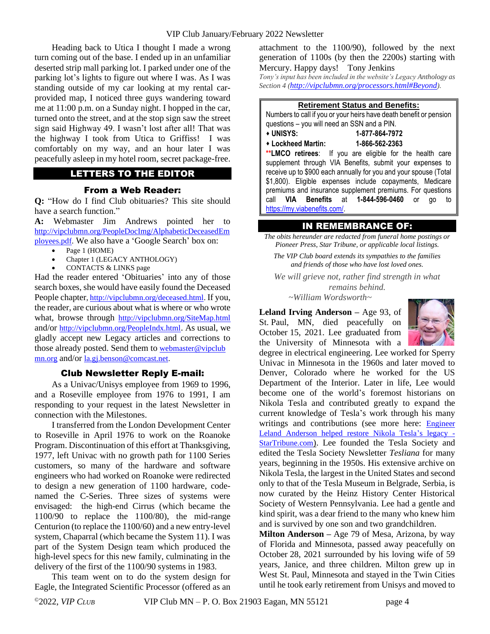Heading back to Utica I thought I made a wrong turn coming out of the base. I ended up in an unfamiliar deserted strip mall parking lot. I parked under one of the parking lot's lights to figure out where I was. As I was standing outside of my car looking at my rental carprovided map, I noticed three guys wandering toward me at 11:00 p.m. on a Sunday night. I hopped in the car, turned onto the street, and at the stop sign saw the street sign said Highway 49. I wasn't lost after all! That was the highway I took from Utica to Griffiss! I was comfortably on my way, and an hour later I was peacefully asleep in my hotel room, secret package-free.

# LETTERS TO THE EDITOR

## From a Web Reader:

**Q:** "How do I find Club obituaries? This site should have a search function."

**A:** Webmaster Jim Andrews pointed her to [http://vipclubmn.org/PeopleDocImg/AlphabeticDeceasedEm](http://vipclubmn.org/PeopleDocImg/AlphabeticDeceasedEmployees.pdf) [ployees.pdf.](http://vipclubmn.org/PeopleDocImg/AlphabeticDeceasedEmployees.pdf) We also have a 'Google Search' box on:

- Page 1 (HOME)
- Chapter 1 (LEGACY ANTHOLOGY)
- CONTACTS & LINKS page

Had the reader entered 'Obituaries' into any of those search boxes, she would have easily found the Deceased People chapter, [http://vipclubmn.org/deceased.html.](http://vipclubmn.org/deceased.html) If you, the reader, are curious about what is where or who wrote what, browse through <http://vipclubmn.org/SiteMap.html> and/or <http://vipclubmn.org/PeopleIndx.html>. As usual, we gladly accept new Legacy articles and corrections to those already posted. Send them to [webmaster@vipclub](mailto:webmaster@vipclubmn.org) [mn.org](mailto:webmaster@vipclubmn.org) and/or [la.gj.benson@comcast.net.](mailto:la.gj.benson@comcast.net?subject=Web%20site%20%27tweak%27)

## Club Newsletter Reply E-mail:

As a Univac/Unisys employee from 1969 to 1996, and a Roseville employee from 1976 to 1991, I am responding to your request in the latest Newsletter in connection with the Milestones.

I transferred from the London Development Center to Roseville in April 1976 to work on the Roanoke Program. Discontinuation of this effort at Thanksgiving, 1977, left Univac with no growth path for 1100 Series customers, so many of the hardware and software engineers who had worked on Roanoke were redirected to design a new generation of 1100 hardware, codenamed the C-Series. Three sizes of systems were envisaged: the high-end Cirrus (which became the 1100/90 to replace the 1100/80), the mid-range Centurion (to replace the 1100/60) and a new entry-level system, Chaparral (which became the System 11). I was part of the System Design team which produced the high-level specs for this new family, culminating in the delivery of the first of the 1100/90 systems in 1983.

This team went on to do the system design for Eagle, the Integrated Scientific Processor (offered as an attachment to the 1100/90), followed by the next generation of 1100s (by then the 2200s) starting with Mercury. Happy days! Tony Jenkins

*Tony's input has been included in the website's Legacy Anthology as Section 4 (<http://vipclubmn.org/processors.html#Beyond>).*

| <b>Retirement Status and Benefits:</b>                             |                                                          |  |  |  |  |
|--------------------------------------------------------------------|----------------------------------------------------------|--|--|--|--|
| Numbers to call if you or your heirs have death benefit or pension |                                                          |  |  |  |  |
| questions - you will need an SSN and a PIN.                        |                                                          |  |  |  |  |
| • UNISYS:                                                          | 1-877-864-7972                                           |  |  |  |  |
| ◆ Lockheed Martin:                                                 | 1-866-562-2363                                           |  |  |  |  |
|                                                                    | **LMCO retirees: If you are eligible for the health care |  |  |  |  |
| supplement through VIA Benefits, submit your expenses to           |                                                          |  |  |  |  |
| receive up to \$900 each annually for you and your spouse (Total   |                                                          |  |  |  |  |
| \$1,800). Eligible expenses include copayments, Medicare           |                                                          |  |  |  |  |
| premiums and insurance supplement premiums. For questions          |                                                          |  |  |  |  |
| call                                                               | VIA Benefits at 1-844-596-0460<br>or<br>to<br>qo         |  |  |  |  |
| https://my.viabenefits.com/.                                       |                                                          |  |  |  |  |
|                                                                    |                                                          |  |  |  |  |

# IN REMEMBRANCE OF:

*The obits hereunder are redacted from funeral home postings or Pioneer Press, Star Tribune, or applicable local listings.*

*The VIP Club board extends its sympathies to the families and friends of those who have lost loved ones.*

*We will grieve not, rather find strength in what remains behind.* 

*~William Wordsworth~*

**Leland Irving Anderson –** Age 93, of St. Paul, MN, died peacefully on October 15, 2021. Lee graduated from the University of Minnesota with a



degree in electrical engineering. Lee worked for Sperry Univac in Minnesota in the 1960s and later moved to Denver, Colorado where he worked for the US Department of the Interior. Later in life, Lee would become one of the world's foremost historians on Nikola Tesla and contributed greatly to expand the current knowledge of Tesla's work through his many writings and contributions (see more here: [Engineer](https://www.startribune.com/engineer-leland-anderson-who-helped-restore-nikola-tesla-s-legacy-dies-at-93/600116385/)  [Leland Anderson helped restore Nikola Tesla's legacy -](https://www.startribune.com/engineer-leland-anderson-who-helped-restore-nikola-tesla-s-legacy-dies-at-93/600116385/) [StarTribune.com](https://www.startribune.com/engineer-leland-anderson-who-helped-restore-nikola-tesla-s-legacy-dies-at-93/600116385/)). Lee founded the Tesla Society and edited the Tesla Society Newsletter *Tesliana* for many years, beginning in the 1950s. His extensive archive on Nikola Tesla, the largest in the United States and second only to that of the Tesla Museum in Belgrade, Serbia, is now curated by the Heinz History Center Historical Society of Western Pennsylvania. Lee had a gentle and kind spirit, was a dear friend to the many who knew him and is survived by one son and two grandchildren.

**Milton Anderson –** Age 79 of Mesa, Arizona, by way of Florida and Minnesota, passed away peacefully on October 28, 2021 surrounded by his loving wife of 59 years, Janice, and three children. Milton grew up in West St. Paul, Minnesota and stayed in the Twin Cities until he took early retirement from Unisys and moved to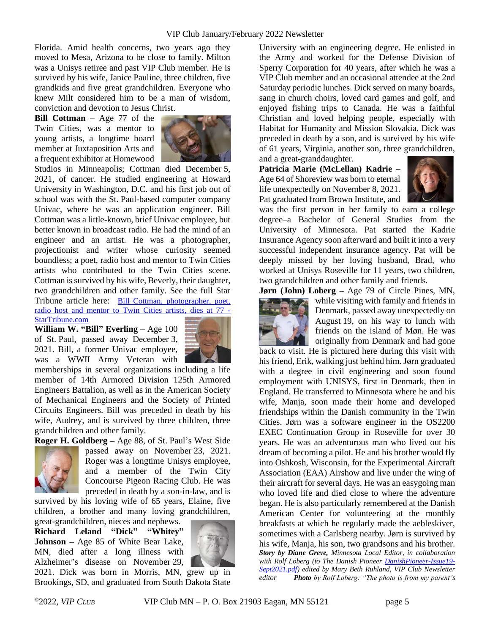Florida. Amid health concerns, two years ago they moved to Mesa, Arizona to be close to family. Milton was a Unisys retiree and past VIP Club member. He is survived by his wife, Janice Pauline, three children, five grandkids and five great grandchildren. Everyone who knew Milt considered him to be a man of wisdom, conviction and devotion to Jesus Christ.

**Bill Cottman –** Age 77 of the Twin Cities, was a mentor to young artists, a longtime board member at Juxtaposition Arts and a frequent exhibitor at Homewood



Studios in Minneapolis; Cottman died December 5, 2021, of cancer. He studied engineering at Howard University in Washington, D.C. and his first job out of school was with the St. Paul-based computer company Univac, where he was an application engineer. Bill Cottman was a little-known, brief Univac employee, but better known in broadcast radio. He had the mind of an engineer and an artist. He was a photographer, projectionist and writer whose curiosity seemed boundless; a poet, radio host and mentor to Twin Cities artists who contributed to the Twin Cities scene. Cottman is survived by his wife, Beverly, their daughter, two grandchildren and other family. See the full Star Tribune article here: Bill Cottman, photographer, poet, [radio host and mentor to Twin Cities artists, dies at 77 -](https://www.startribune.com/photographer-poet-radio-host-and-mentor-to-twin-cities-artists-bill-cottman-dies-at-77/600129460/) [StarTribune.com](https://www.startribune.com/photographer-poet-radio-host-and-mentor-to-twin-cities-artists-bill-cottman-dies-at-77/600129460/)

**William W. "Bill" Everling –** Age 100 of St. Paul, passed away December 3, 2021. Bill, a former Univac employee, was a WWII Army Veteran with



memberships in several organizations including a life member of 14th Armored Division 125th Armored Engineers Battalion, as well as in the American Society of Mechanical Engineers and the Society of Printed Circuits Engineers. Bill was preceded in death by his wife, Audrey, and is survived by three children, three grandchildren and other family.

**Roger H. Goldberg –** Age 88, of St. Paul's West Side



passed away on November 23, 2021. Roger was a longtime Unisys employee, and a member of the Twin City Concourse Pigeon Racing Club. He was preceded in death by a son-in-law, and is

survived by his loving wife of 65 years, Elaine, five children, a brother and many loving grandchildren,

great-grandchildren, nieces and nephews. **Richard Leland "Dick" "Whitey" Johnson –** Age 85 of White Bear Lake, MN, died after a long illness with Alzheimer's disease on November 29,



2021. Dick was born in Morris, MN, grew up in Brookings, SD, and graduated from South Dakota State University with an engineering degree. He enlisted in the Army and worked for the Defense Division of Sperry Corporation for 40 years, after which he was a VIP Club member and an occasional attendee at the 2nd Saturday periodic lunches. Dick served on many boards, sang in church choirs, loved card games and golf, and enjoyed fishing trips to Canada. He was a faithful Christian and loved helping people, especially with Habitat for Humanity and Mission Slovakia. Dick was preceded in death by a son, and is survived by his wife of 61 years, Virginia, another son, three grandchildren, and a great-granddaughter.

**Patricia Marie (McLellan) Kadrie –** Age 64 of Shoreview was born to eternal life unexpectedly on November 8, 2021. Pat graduated from Brown Institute, and



was the first person in her family to earn a college degree–a Bachelor of General Studies from the University of Minnesota. Pat started the Kadrie Insurance Agency soon afterward and built it into a very successful independent insurance agency. Pat will be deeply missed by her loving husband, Brad, who worked at Unisys Roseville for 11 years, two children, two grandchildren and other family and friends.

**Jørn (John) Loberg –** Age 79 of Circle Pines, MN,



while visiting with family and friends in Denmark, passed away unexpectedly on August 19, on his way to lunch with friends on the island of Møn. He was originally from Denmark and had gone

back to visit. He is pictured here during this visit with his friend, Erik, walking just behind him. Jørn graduated with a degree in civil engineering and soon found employment with UNISYS, first in Denmark, then in England. He transferred to Minnesota where he and his wife, Manja, soon made their home and developed friendships within the Danish community in the Twin Cities. Jørn was a software engineer in the OS2200 EXEC Continuation Group in Roseville for over 30 years. He was an adventurous man who lived out his dream of becoming a pilot. He and his brother would fly into Oshkosh, Wisconsin, for the Experimental Aircraft Association (EAA) Airshow and live under the wing of their aircraft for several days. He was an easygoing man who loved life and died close to where the adventure began. He is also particularly remembered at the Danish American Center for volunteering at the monthly breakfasts at which he regularly made the aebleskiver, sometimes with a Carlsberg nearby. Jørn is survived by his wife, Manja, his son, two grandsons and his brother. *Story by Diane Greve, Minnesota Local Editor, in collaboration with Rolf Loberg (to The Danish Pioneer [DanishPioneer-Issue19-](file:///C:/Users/johnr/Downloads/DanishPioneer-Issue19-Sept2021.pdf) [Sept2021.pdf\)](file:///C:/Users/johnr/Downloads/DanishPioneer-Issue19-Sept2021.pdf) edited by Mary Beth Ruhland, VIP Club Newsletter editor Photo by Rolf Loberg: "The photo is from my parent's*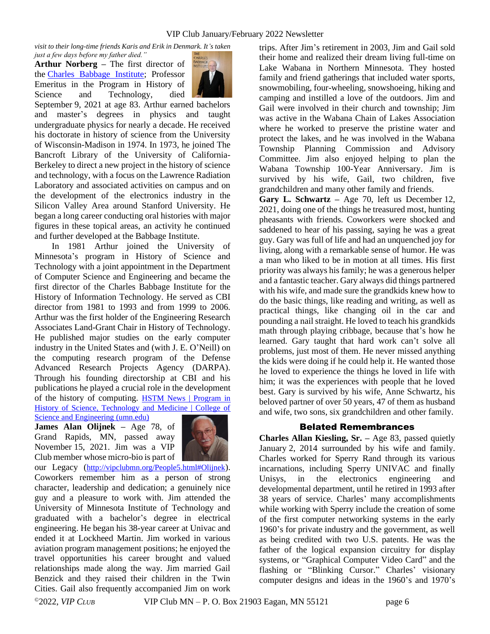*visit to their long-time friends Karis and Erik in Denmark. It's taken* 

*just a few days before my father died."* **Arthur Norberg –** The first director of the [Charles Babbage Institute;](https://cse.umn.edu/cbi) Professor Emeritus in the Program in History of Science and Technology, died



September 9, 2021 at age 83. Arthur earned bachelors and master's degrees in physics and taught undergraduate physics for nearly a decade. He received his doctorate in history of science from the University of Wisconsin-Madison in 1974. In 1973, he joined The Bancroft Library of the University of California-Berkeley to direct a new project in the history of science and technology, with a focus on the Lawrence Radiation Laboratory and associated activities on campus and on the development of the electronics industry in the Silicon Valley Area around Stanford University. He began a long career conducting oral histories with major figures in these topical areas, an activity he continued and further developed at the Babbage Institute.

In 1981 Arthur joined the University of Minnesota's program in History of Science and Technology with a joint appointment in the Department of Computer Science and Engineering and became the first director of the Charles Babbage Institute for the History of Information Technology. He served as CBI director from 1981 to 1993 and from 1999 to 2006. Arthur was the first holder of the Engineering Research Associates Land-Grant Chair in History of Technology. He published major studies on the early computer industry in the United States and (with J. E. O'Neill) on the computing research program of the Defense Advanced Research Projects Agency (DARPA). Through his founding directorship at CBI and his publications he played a crucial role in the development of the history of computing. [HSTM News | Program in](https://cse.umn.edu/hstm/hstm-news)  History of Science, Technology and Medicine | College of [Science and Engineering \(umn.edu\)](https://cse.umn.edu/hstm/hstm-news)

**James Alan Olijnek –** Age 78, of Grand Rapids, MN, passed away November 15, 2021. Jim was a VIP Club member whose micro-bio is part of



our Legacy (<http://vipclubmn.org/People5.html#Olijnek>). Coworkers remember him as a person of strong character, leadership and dedication; a genuinely nice guy and a pleasure to work with. Jim attended the University of Minnesota Institute of Technology and graduated with a bachelor's degree in electrical engineering. He began his 38-year career at Univac and ended it at Lockheed Martin. Jim worked in various aviation program management positions; he enjoyed the travel opportunities his career brought and valued relationships made along the way. Jim married Gail Benzick and they raised their children in the Twin Cities. Gail also frequently accompanied Jim on work

trips. After Jim's retirement in 2003, Jim and Gail sold their home and realized their dream living full-time on Lake Wabana in Northern Minnesota. They hosted family and friend gatherings that included water sports, snowmobiling, four-wheeling, snowshoeing, hiking and camping and instilled a love of the outdoors. Jim and Gail were involved in their church and township; Jim was active in the Wabana Chain of Lakes Association where he worked to preserve the pristine water and protect the lakes, and he was involved in the Wabana Township Planning Commission and Advisory Committee. Jim also enjoyed helping to plan the Wabana Township 100-Year Anniversary. Jim is survived by his wife, Gail, two children, five grandchildren and many other family and friends.

**Gary L. Schwartz –** Age 70, left us December 12, 2021, doing one of the things he treasured most, hunting pheasants with friends. Coworkers were shocked and saddened to hear of his passing, saying he was a great guy. Gary was full of life and had an unquenched joy for living, along with a remarkable sense of humor. He was a man who liked to be in motion at all times. His first priority was always his family; he was a generous helper and a fantastic teacher. Gary always did things partnered with his wife, and made sure the grandkids knew how to do the basic things, like reading and writing, as well as practical things, like changing oil in the car and pounding a nail straight. He loved to teach his grandkids math through playing cribbage, because that's how he learned. Gary taught that hard work can't solve all problems, just most of them. He never missed anything the kids were doing if he could help it. He wanted those he loved to experience the things he loved in life with him; it was the experiences with people that he loved best. Gary is survived by his wife, Anne Schwartz, his beloved partner of over 50 years, 47 of them as husband and wife, two sons, six grandchildren and other family.

## Belated Remembrances

**Charles Allan Kiesling, Sr. –** Age 83, passed quietly January 2, 2014 surrounded by his wife and family. Charles worked for Sperry Rand through its various incarnations, including Sperry UNIVAC and finally Unisys, in the electronics engineering and developmental department, until he retired in 1993 after 38 years of service. Charles' many accomplishments while working with Sperry include the creation of some of the first computer networking systems in the early 1960's for private industry and the government, as well as being credited with two U.S. patents. He was the father of the logical expansion circuitry for display systems, or "Graphical Computer Video Card" and the flashing or "Blinking Cursor." Charles' visionary computer designs and ideas in the 1960's and 1970's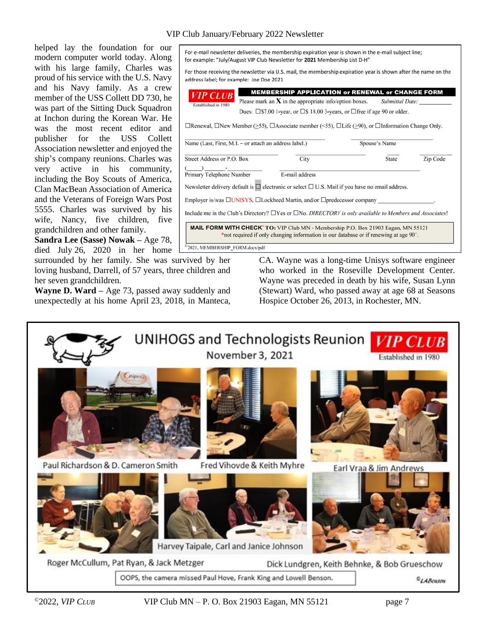#### VIP Club January/February 2022 Newsletter

helped lay the foundation for our modern computer world today. Along with his large family, Charles was proud of his service with the U.S. Navy and his Navy family. As a crew member of the USS Collett DD 730, he was part of the Sitting Duck Squadron at Inchon during the Korean War. He was the most recent editor and publisher for the USS Collett Association newsletter and enjoyed the ship's company reunions. Charles was very active in his community, including the Boy Scouts of America, Clan MacBean Association of America and the Veterans of Foreign Wars Post 5555. Charles was survived by his wife, Nancy, five children, five grandchildren and other family.

**Sandra Lee (Sasse) Nowak –** Age 78, died July 26, 2020 in her home

surrounded by her family. She was survived by her loving husband, Darrell, of 57 years, three children and her seven grandchildren.

**Wayne D. Ward –** Age 73, passed away suddenly and unexpectedly at his home April 23, 2018, in Manteca,

For e-mail newsletter deliveries, the membership expiration year is shown in the e-mail subject line; for example: "July/August VIP Club Newsletter for 2021 Membership List D-H"

For those receiving the newsletter via U.S. mail, the membership expiration year is shown after the name on the address label: for example: Joe Doe 2021

| <b>VIP CLUB</b>                                                                                                                                                                                            |                                                                                    |                | <b>MEMBERSHIP APPLICATION or RENEWAL or CHANGE FORM</b> |               |          |  |  |
|------------------------------------------------------------------------------------------------------------------------------------------------------------------------------------------------------------|------------------------------------------------------------------------------------|----------------|---------------------------------------------------------|---------------|----------|--|--|
| Established in 1980                                                                                                                                                                                        | Please mark an $X$ in the appropriate info/option boxes.<br><b>Submittal Date:</b> |                |                                                         |               |          |  |  |
| Dues: $\square$ \$7.00 1-year, or $\square$ \$18.00 3-years, or $\square$ free if age 90 or older.                                                                                                         |                                                                                    |                |                                                         |               |          |  |  |
| □Renewal, □New Member (≥55), □Associate member (<55), □Life (≥90), or □Information Change Only.                                                                                                            |                                                                                    |                |                                                         |               |          |  |  |
| Name (Last, First, M.I. – or attach an address label.)                                                                                                                                                     |                                                                                    |                |                                                         | Spouse's Name |          |  |  |
| Street Address or P.O. Box                                                                                                                                                                                 |                                                                                    | City           |                                                         | <b>State</b>  | Zip Code |  |  |
| Primary Telephone Number                                                                                                                                                                                   |                                                                                    | E-mail address |                                                         |               |          |  |  |
| Newsletter delivery default is $\Box$ electronic or select $\Box$ U.S. Mail if you have no email address.                                                                                                  |                                                                                    |                |                                                         |               |          |  |  |
| Employer is/was □UNISYS, □Lockheed Martin, and/or □predecessor company _________                                                                                                                           |                                                                                    |                |                                                         |               |          |  |  |
| Include me in the Club's Directory? $\Box$ Yes or $\Box$ No. <i>DIRECTORY is only available to Members and Associates!</i>                                                                                 |                                                                                    |                |                                                         |               |          |  |  |
| <b>MAIL FORM WITH CHECK</b> <sup>*</sup> TO: VIP Club MN - Membership P.O. Box 21903 Eagan, MN 55121<br>*not required if only changing information in our database or if renewing at age 90 <sup>+</sup> . |                                                                                    |                |                                                         |               |          |  |  |
| <sup>C</sup> 2021, MEMBERSHIP FORM.docx/pdf                                                                                                                                                                |                                                                                    |                |                                                         |               |          |  |  |

CA. Wayne was a long-time Unisys software engineer who worked in the Roseville Development Center. Wayne was preceded in death by his wife, Susan Lynn (Stewart) Ward, who passed away at age 68 at Seasons Hospice October 26, 2013, in Rochester, MN.